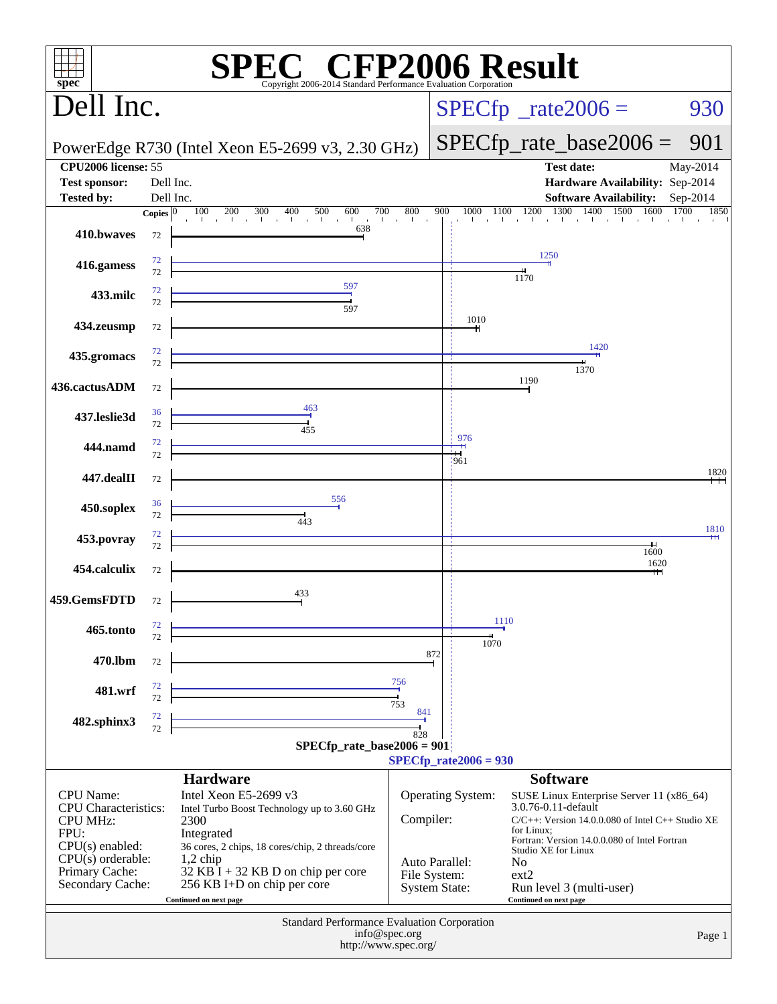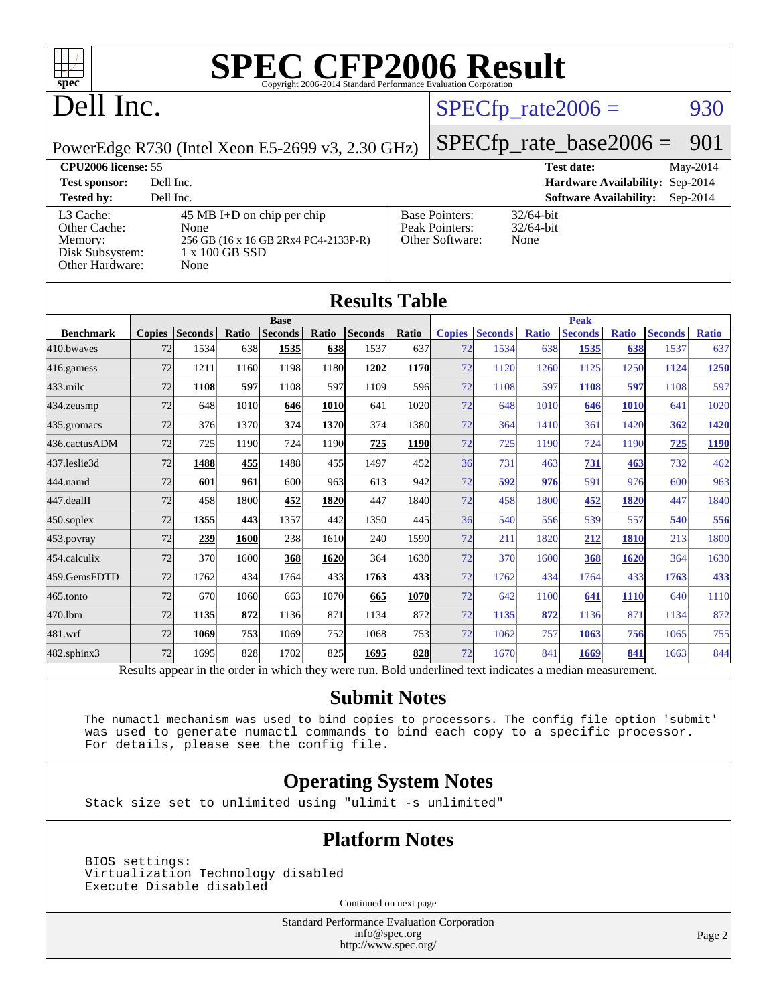

# Dell Inc.

### $SPECTp_rate2006 = 930$

PowerEdge R730 (Intel Xeon E5-2699 v3, 2.30 GHz)

[SPECfp\\_rate\\_base2006 =](http://www.spec.org/auto/cpu2006/Docs/result-fields.html#SPECfpratebase2006) 901

| <b>CPU2006 license: 55</b>                                                 |                                                                                                                |                                                            | <b>Test date:</b><br>May-2014               |  |
|----------------------------------------------------------------------------|----------------------------------------------------------------------------------------------------------------|------------------------------------------------------------|---------------------------------------------|--|
| <b>Test sponsor:</b>                                                       | Dell Inc.                                                                                                      |                                                            | Hardware Availability: Sep-2014             |  |
| <b>Tested by:</b>                                                          | Dell Inc.                                                                                                      |                                                            | <b>Software Availability:</b><br>$Sep-2014$ |  |
| L3 Cache:<br>Other Cache:<br>Memory:<br>Disk Subsystem:<br>Other Hardware: | $45 \text{ MB I+D}$ on chip per chip<br>None<br>256 GB (16 x 16 GB 2Rx4 PC4-2133P-R)<br>1 x 100 GB SSD<br>None | <b>Base Pointers:</b><br>Peak Pointers:<br>Other Software: | $32/64$ -bit<br>$32/64$ -bit<br>None        |  |

**[Results Table](http://www.spec.org/auto/cpu2006/Docs/result-fields.html#ResultsTable)**

| Results Table                                                                                            |               |                |            |                |       |                |             |               |                |              |                |              |                |              |
|----------------------------------------------------------------------------------------------------------|---------------|----------------|------------|----------------|-------|----------------|-------------|---------------|----------------|--------------|----------------|--------------|----------------|--------------|
|                                                                                                          | <b>Base</b>   |                |            |                |       |                | <b>Peak</b> |               |                |              |                |              |                |              |
| <b>Benchmark</b>                                                                                         | <b>Copies</b> | <b>Seconds</b> | Ratio      | <b>Seconds</b> | Ratio | <b>Seconds</b> | Ratio       | <b>Copies</b> | <b>Seconds</b> | <b>Ratio</b> | <b>Seconds</b> | <b>Ratio</b> | <b>Seconds</b> | <b>Ratio</b> |
| 410.bwayes                                                                                               | 72            | 1534           | 638        | 1535           | 638   | 1537           | 637         | 72            | 1534           | 638          | 1535           | 638          | 1537           | 637          |
| 416.gamess                                                                                               | 72            | 1211           | 1160       | 1198           | 1180  | 1202           | 1170        | 72            | 1120           | 1260         | 1125           | 1250         | 1124           | <u>1250</u>  |
| $433$ .milc                                                                                              | 72            | 1108           | 597        | 1108           | 597   | 1109           | 596l        | 72            | 1108           | 597          | 1108           | 597          | 1108           | 597          |
| 434.zeusmp                                                                                               | 72            | 648            | 1010       | 646            | 1010  | 641            | 1020        | 72            | 648            | 1010         | 646            | 1010         | 641            | 1020         |
| 435.gromacs                                                                                              | 72            | 376            | 1370       | 374            | 1370  | 374            | 1380        | 72            | 364            | 1410         | 361            | 1420         | 362            | <u>1420</u>  |
| 436.cactusADM                                                                                            | 72            | 725            | 1190       | 724            | 1190  | 725            | 1190        | 72            | 725            | 1190         | 724            | 1190         | 725            | <u>1190</u>  |
| 437.leslie3d                                                                                             | 72            | 1488           | <b>455</b> | 1488           | 455   | 1497           | 452l        | 36            | 731            | 463          | <u>731</u>     | 463          | 732            | 462          |
| 444.namd                                                                                                 | 72            | 601            | 961        | 600            | 963   | 613            | 942         | 72            | 592            | 976          | 591            | 976          | 600            | 963          |
| 447.dealII                                                                                               | 72            | 458            | 1800       | 452            | 1820  | 447            | 1840        | 72            | 458            | 1800         | 452            | 1820         | 447            | 1840         |
| $450$ .soplex                                                                                            | 72            | 1355           | 443        | 1357           | 442   | 1350           | 445         | 36            | 540            | 556          | 539            | 557          | 540            | 556          |
| $453$ .povray                                                                                            | 72            | 239            | 1600       | 238            | 1610  | 240            | 1590        | 72            | 211            | 1820         | 212            | 1810         | 213            | 1800         |
| 454.calculix                                                                                             | 72            | 370            | 1600       | 368            | 1620  | 364            | 1630        | 72            | 370            | 1600         | 368            | 1620         | 364            | 1630         |
| 459.GemsFDTD                                                                                             | 72            | 1762           | 434        | 1764           | 433   | 1763           | 433         | 72            | 1762           | 434          | 1764           | 433          | 1763           | 433          |
| 465.tonto                                                                                                | 72            | 670            | 1060       | 663            | 1070  | 665            | 1070        | 72            | 642            | 1100         | 641            | 1110         | 640            | 1110         |
| 470.1bm                                                                                                  | 72            | 1135           | 872        | 1136           | 871   | 1134           | 872         | 72            | 1135           | 872          | 1136           | 871          | 1134           | 872          |
| 481.wrf                                                                                                  | 72            | 1069           | 753        | 1069           | 752   | 1068           | 753I        | 72            | 1062           | 757          | 1063           | 756          | 1065           | 755          |
| 482.sphinx3                                                                                              | 72            | 1695           | 828        | 1702           | 825   | 1695           | 828         | 72            | 1670           | 841          | 1669           | 841          | 1663           | 844          |
| Results appear in the order in which they were run. Bold underlined text indicates a median measurement. |               |                |            |                |       |                |             |               |                |              |                |              |                |              |

#### **[Submit Notes](http://www.spec.org/auto/cpu2006/Docs/result-fields.html#SubmitNotes)**

 The numactl mechanism was used to bind copies to processors. The config file option 'submit' was used to generate numactl commands to bind each copy to a specific processor. For details, please see the config file.

### **[Operating System Notes](http://www.spec.org/auto/cpu2006/Docs/result-fields.html#OperatingSystemNotes)**

Stack size set to unlimited using "ulimit -s unlimited"

### **[Platform Notes](http://www.spec.org/auto/cpu2006/Docs/result-fields.html#PlatformNotes)**

 BIOS settings: Virtualization Technology disabled Execute Disable disabled

Continued on next page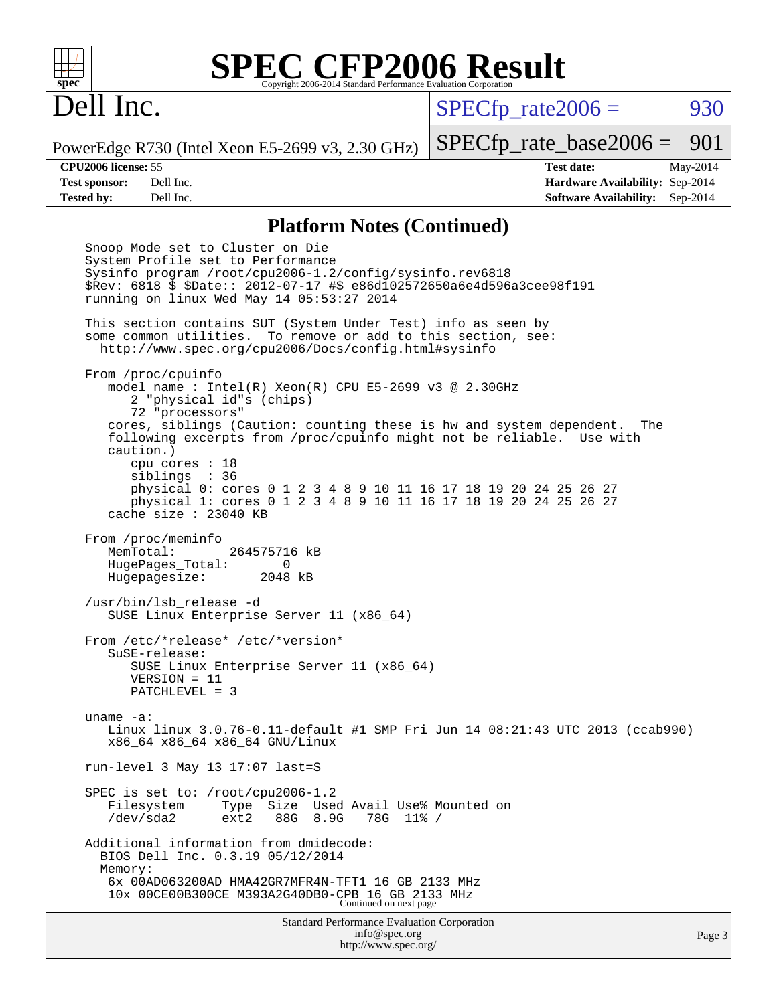# Dell Inc.

 $SPECTp\_rate2006 = 930$ 

PowerEdge R730 (Intel Xeon E5-2699 v3, 2.30 GHz)

[SPECfp\\_rate\\_base2006 =](http://www.spec.org/auto/cpu2006/Docs/result-fields.html#SPECfpratebase2006) 901

**[CPU2006 license:](http://www.spec.org/auto/cpu2006/Docs/result-fields.html#CPU2006license)** 55 **[Test date:](http://www.spec.org/auto/cpu2006/Docs/result-fields.html#Testdate)** May-2014 **[Test sponsor:](http://www.spec.org/auto/cpu2006/Docs/result-fields.html#Testsponsor)** Dell Inc. **[Hardware Availability:](http://www.spec.org/auto/cpu2006/Docs/result-fields.html#HardwareAvailability)** Sep-2014 **[Tested by:](http://www.spec.org/auto/cpu2006/Docs/result-fields.html#Testedby)** Dell Inc. **[Software Availability:](http://www.spec.org/auto/cpu2006/Docs/result-fields.html#SoftwareAvailability)** Sep-2014

#### **[Platform Notes \(Continued\)](http://www.spec.org/auto/cpu2006/Docs/result-fields.html#PlatformNotes)**

Standard Performance Evaluation Corporation [info@spec.org](mailto:info@spec.org) Snoop Mode set to Cluster on Die System Profile set to Performance Sysinfo program /root/cpu2006-1.2/config/sysinfo.rev6818 \$Rev: 6818 \$ \$Date:: 2012-07-17 #\$ e86d102572650a6e4d596a3cee98f191 running on linux Wed May 14 05:53:27 2014 This section contains SUT (System Under Test) info as seen by some common utilities. To remove or add to this section, see: <http://www.spec.org/cpu2006/Docs/config.html#sysinfo> From /proc/cpuinfo model name : Intel(R) Xeon(R) CPU E5-2699 v3 @ 2.30GHz 2 "physical id"s (chips) 72 "processors" cores, siblings (Caution: counting these is hw and system dependent. The following excerpts from /proc/cpuinfo might not be reliable. Use with caution.) cpu cores : 18 siblings : 36 physical 0: cores 0 1 2 3 4 8 9 10 11 16 17 18 19 20 24 25 26 27 physical 1: cores 0 1 2 3 4 8 9 10 11 16 17 18 19 20 24 25 26 27 cache size : 23040 KB From /proc/meminfo MemTotal: 264575716 kB HugePages\_Total: 0 Hugepagesize: 2048 kB /usr/bin/lsb\_release -d SUSE Linux Enterprise Server 11 (x86\_64) From /etc/\*release\* /etc/\*version\* SuSE-release: SUSE Linux Enterprise Server 11 (x86\_64) VERSION = 11 PATCHLEVEL = 3 uname -a: Linux linux 3.0.76-0.11-default #1 SMP Fri Jun 14 08:21:43 UTC 2013 (ccab990) x86\_64 x86\_64 x86\_64 GNU/Linux run-level 3 May 13 17:07 last=S SPEC is set to: /root/cpu2006-1.2 Filesystem Type Size Used Avail Use% Mounted on /dev/sda2 ext2 88G 8.9G 78G 11% / Additional information from dmidecode: BIOS Dell Inc. 0.3.19 05/12/2014 Memory: 6x 00AD063200AD HMA42GR7MFR4N-TFT1 16 GB 2133 MHz 10x 00CE00B300CE M393A2G40DB0-CPB 16 GB 2133 MHz Continued on next page

<http://www.spec.org/>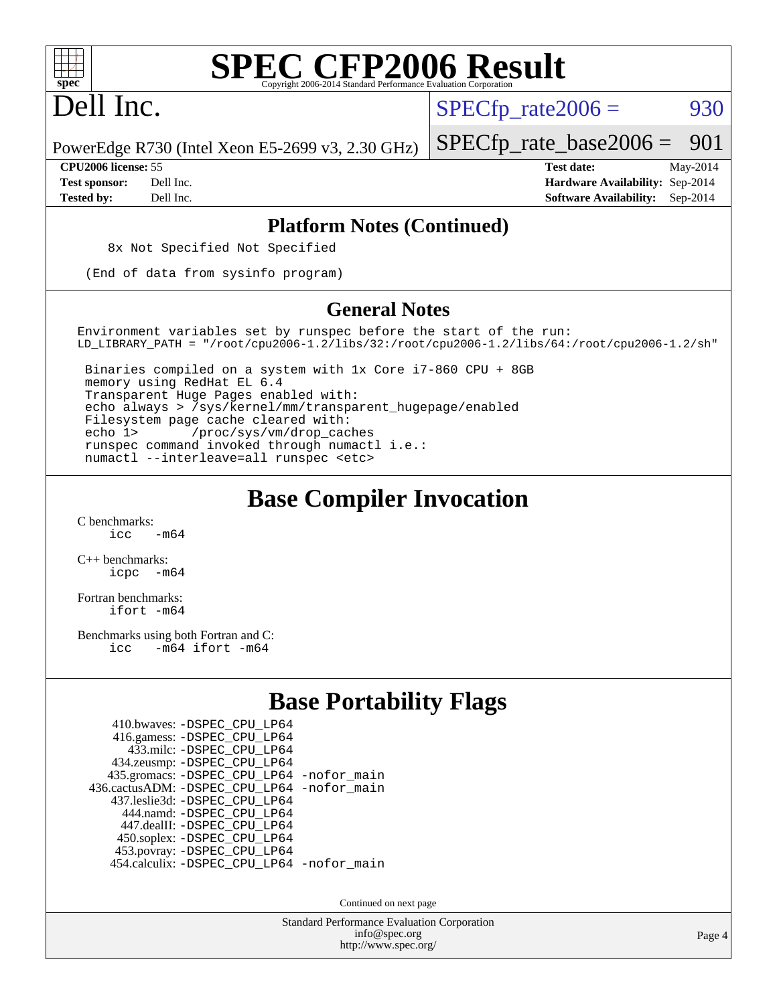

# Dell Inc.

 $SPECTp\_rate2006 = 930$ 

PowerEdge R730 (Intel Xeon E5-2699 v3, 2.30 GHz)

**[Tested by:](http://www.spec.org/auto/cpu2006/Docs/result-fields.html#Testedby)** Dell Inc. **[Software Availability:](http://www.spec.org/auto/cpu2006/Docs/result-fields.html#SoftwareAvailability)** Sep-2014

[SPECfp\\_rate\\_base2006 =](http://www.spec.org/auto/cpu2006/Docs/result-fields.html#SPECfpratebase2006) 901 **[CPU2006 license:](http://www.spec.org/auto/cpu2006/Docs/result-fields.html#CPU2006license)** 55 **[Test date:](http://www.spec.org/auto/cpu2006/Docs/result-fields.html#Testdate)** May-2014 **[Test sponsor:](http://www.spec.org/auto/cpu2006/Docs/result-fields.html#Testsponsor)** Dell Inc. **[Hardware Availability:](http://www.spec.org/auto/cpu2006/Docs/result-fields.html#HardwareAvailability)** Sep-2014

#### **[Platform Notes \(Continued\)](http://www.spec.org/auto/cpu2006/Docs/result-fields.html#PlatformNotes)**

8x Not Specified Not Specified

(End of data from sysinfo program)

#### **[General Notes](http://www.spec.org/auto/cpu2006/Docs/result-fields.html#GeneralNotes)**

Environment variables set by runspec before the start of the run: LD\_LIBRARY\_PATH = "/root/cpu2006-1.2/libs/32:/root/cpu2006-1.2/libs/64:/root/cpu2006-1.2/sh"

 Binaries compiled on a system with 1x Core i7-860 CPU + 8GB memory using RedHat EL 6.4 Transparent Huge Pages enabled with: echo always > /sys/kernel/mm/transparent\_hugepage/enabled Filesystem page cache cleared with: echo 1> /proc/sys/vm/drop\_caches runspec command invoked through numactl i.e.: numactl --interleave=all runspec <etc>

## **[Base Compiler Invocation](http://www.spec.org/auto/cpu2006/Docs/result-fields.html#BaseCompilerInvocation)**

[C benchmarks](http://www.spec.org/auto/cpu2006/Docs/result-fields.html#Cbenchmarks):  $\frac{1}{2}$ cc  $-\text{m64}$ 

[C++ benchmarks:](http://www.spec.org/auto/cpu2006/Docs/result-fields.html#CXXbenchmarks) [icpc -m64](http://www.spec.org/cpu2006/results/res2014q3/cpu2006-20140909-31344.flags.html#user_CXXbase_intel_icpc_64bit_bedb90c1146cab66620883ef4f41a67e)

[Fortran benchmarks](http://www.spec.org/auto/cpu2006/Docs/result-fields.html#Fortranbenchmarks): [ifort -m64](http://www.spec.org/cpu2006/results/res2014q3/cpu2006-20140909-31344.flags.html#user_FCbase_intel_ifort_64bit_ee9d0fb25645d0210d97eb0527dcc06e)

[Benchmarks using both Fortran and C](http://www.spec.org/auto/cpu2006/Docs/result-fields.html#BenchmarksusingbothFortranandC): [icc -m64](http://www.spec.org/cpu2006/results/res2014q3/cpu2006-20140909-31344.flags.html#user_CC_FCbase_intel_icc_64bit_0b7121f5ab7cfabee23d88897260401c) [ifort -m64](http://www.spec.org/cpu2006/results/res2014q3/cpu2006-20140909-31344.flags.html#user_CC_FCbase_intel_ifort_64bit_ee9d0fb25645d0210d97eb0527dcc06e)

## **[Base Portability Flags](http://www.spec.org/auto/cpu2006/Docs/result-fields.html#BasePortabilityFlags)**

| 410.bwaves: - DSPEC CPU LP64               |  |
|--------------------------------------------|--|
| 416.gamess: -DSPEC_CPU_LP64                |  |
| 433.milc: -DSPEC CPU LP64                  |  |
| 434.zeusmp: - DSPEC_CPU_LP64               |  |
| 435.gromacs: -DSPEC_CPU_LP64 -nofor_main   |  |
| 436.cactusADM: -DSPEC CPU LP64 -nofor main |  |
| 437.leslie3d: -DSPEC CPU LP64              |  |
| 444.namd: -DSPEC CPU LP64                  |  |
| 447.dealII: -DSPEC CPU LP64                |  |
| 450.soplex: -DSPEC_CPU_LP64                |  |
| 453.povray: -DSPEC_CPU_LP64                |  |
| 454.calculix: -DSPEC_CPU_LP64 -nofor_main  |  |

Continued on next page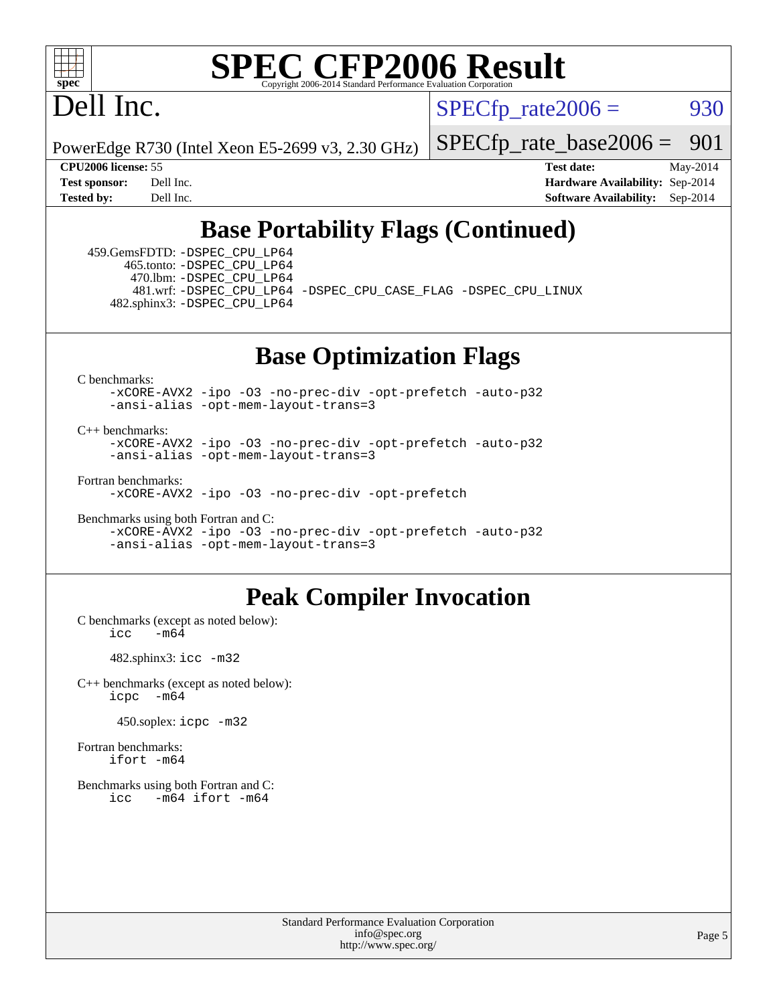

# Dell Inc.

 $SPECTp\_rate2006 = 930$ 

PowerEdge R730 (Intel Xeon E5-2699 v3, 2.30 GHz)

[SPECfp\\_rate\\_base2006 =](http://www.spec.org/auto/cpu2006/Docs/result-fields.html#SPECfpratebase2006) 901

**[CPU2006 license:](http://www.spec.org/auto/cpu2006/Docs/result-fields.html#CPU2006license)** 55 **[Test date:](http://www.spec.org/auto/cpu2006/Docs/result-fields.html#Testdate)** May-2014 **[Test sponsor:](http://www.spec.org/auto/cpu2006/Docs/result-fields.html#Testsponsor)** Dell Inc. **[Hardware Availability:](http://www.spec.org/auto/cpu2006/Docs/result-fields.html#HardwareAvailability)** Sep-2014 **[Tested by:](http://www.spec.org/auto/cpu2006/Docs/result-fields.html#Testedby)** Dell Inc. **[Software Availability:](http://www.spec.org/auto/cpu2006/Docs/result-fields.html#SoftwareAvailability)** Sep-2014

## **[Base Portability Flags \(Continued\)](http://www.spec.org/auto/cpu2006/Docs/result-fields.html#BasePortabilityFlags)**

 459.GemsFDTD: [-DSPEC\\_CPU\\_LP64](http://www.spec.org/cpu2006/results/res2014q3/cpu2006-20140909-31344.flags.html#suite_basePORTABILITY459_GemsFDTD_DSPEC_CPU_LP64) 465.tonto: [-DSPEC\\_CPU\\_LP64](http://www.spec.org/cpu2006/results/res2014q3/cpu2006-20140909-31344.flags.html#suite_basePORTABILITY465_tonto_DSPEC_CPU_LP64) 470.lbm: [-DSPEC\\_CPU\\_LP64](http://www.spec.org/cpu2006/results/res2014q3/cpu2006-20140909-31344.flags.html#suite_basePORTABILITY470_lbm_DSPEC_CPU_LP64) 482.sphinx3: [-DSPEC\\_CPU\\_LP64](http://www.spec.org/cpu2006/results/res2014q3/cpu2006-20140909-31344.flags.html#suite_basePORTABILITY482_sphinx3_DSPEC_CPU_LP64)

481.wrf: [-DSPEC\\_CPU\\_LP64](http://www.spec.org/cpu2006/results/res2014q3/cpu2006-20140909-31344.flags.html#suite_basePORTABILITY481_wrf_DSPEC_CPU_LP64) [-DSPEC\\_CPU\\_CASE\\_FLAG](http://www.spec.org/cpu2006/results/res2014q3/cpu2006-20140909-31344.flags.html#b481.wrf_baseCPORTABILITY_DSPEC_CPU_CASE_FLAG) [-DSPEC\\_CPU\\_LINUX](http://www.spec.org/cpu2006/results/res2014q3/cpu2006-20140909-31344.flags.html#b481.wrf_baseCPORTABILITY_DSPEC_CPU_LINUX)

### **[Base Optimization Flags](http://www.spec.org/auto/cpu2006/Docs/result-fields.html#BaseOptimizationFlags)**

[C benchmarks](http://www.spec.org/auto/cpu2006/Docs/result-fields.html#Cbenchmarks):

[-xCORE-AVX2](http://www.spec.org/cpu2006/results/res2014q3/cpu2006-20140909-31344.flags.html#user_CCbase_f-xAVX2_5f5fc0cbe2c9f62c816d3e45806c70d7) [-ipo](http://www.spec.org/cpu2006/results/res2014q3/cpu2006-20140909-31344.flags.html#user_CCbase_f-ipo) [-O3](http://www.spec.org/cpu2006/results/res2014q3/cpu2006-20140909-31344.flags.html#user_CCbase_f-O3) [-no-prec-div](http://www.spec.org/cpu2006/results/res2014q3/cpu2006-20140909-31344.flags.html#user_CCbase_f-no-prec-div) [-opt-prefetch](http://www.spec.org/cpu2006/results/res2014q3/cpu2006-20140909-31344.flags.html#user_CCbase_f-opt-prefetch) [-auto-p32](http://www.spec.org/cpu2006/results/res2014q3/cpu2006-20140909-31344.flags.html#user_CCbase_f-auto-p32) [-ansi-alias](http://www.spec.org/cpu2006/results/res2014q3/cpu2006-20140909-31344.flags.html#user_CCbase_f-ansi-alias) [-opt-mem-layout-trans=3](http://www.spec.org/cpu2006/results/res2014q3/cpu2006-20140909-31344.flags.html#user_CCbase_f-opt-mem-layout-trans_a7b82ad4bd7abf52556d4961a2ae94d5)

[C++ benchmarks:](http://www.spec.org/auto/cpu2006/Docs/result-fields.html#CXXbenchmarks)

[-xCORE-AVX2](http://www.spec.org/cpu2006/results/res2014q3/cpu2006-20140909-31344.flags.html#user_CXXbase_f-xAVX2_5f5fc0cbe2c9f62c816d3e45806c70d7) [-ipo](http://www.spec.org/cpu2006/results/res2014q3/cpu2006-20140909-31344.flags.html#user_CXXbase_f-ipo) [-O3](http://www.spec.org/cpu2006/results/res2014q3/cpu2006-20140909-31344.flags.html#user_CXXbase_f-O3) [-no-prec-div](http://www.spec.org/cpu2006/results/res2014q3/cpu2006-20140909-31344.flags.html#user_CXXbase_f-no-prec-div) [-opt-prefetch](http://www.spec.org/cpu2006/results/res2014q3/cpu2006-20140909-31344.flags.html#user_CXXbase_f-opt-prefetch) [-auto-p32](http://www.spec.org/cpu2006/results/res2014q3/cpu2006-20140909-31344.flags.html#user_CXXbase_f-auto-p32) [-ansi-alias](http://www.spec.org/cpu2006/results/res2014q3/cpu2006-20140909-31344.flags.html#user_CXXbase_f-ansi-alias) [-opt-mem-layout-trans=3](http://www.spec.org/cpu2006/results/res2014q3/cpu2006-20140909-31344.flags.html#user_CXXbase_f-opt-mem-layout-trans_a7b82ad4bd7abf52556d4961a2ae94d5)

[Fortran benchmarks](http://www.spec.org/auto/cpu2006/Docs/result-fields.html#Fortranbenchmarks): [-xCORE-AVX2](http://www.spec.org/cpu2006/results/res2014q3/cpu2006-20140909-31344.flags.html#user_FCbase_f-xAVX2_5f5fc0cbe2c9f62c816d3e45806c70d7) [-ipo](http://www.spec.org/cpu2006/results/res2014q3/cpu2006-20140909-31344.flags.html#user_FCbase_f-ipo) [-O3](http://www.spec.org/cpu2006/results/res2014q3/cpu2006-20140909-31344.flags.html#user_FCbase_f-O3) [-no-prec-div](http://www.spec.org/cpu2006/results/res2014q3/cpu2006-20140909-31344.flags.html#user_FCbase_f-no-prec-div) [-opt-prefetch](http://www.spec.org/cpu2006/results/res2014q3/cpu2006-20140909-31344.flags.html#user_FCbase_f-opt-prefetch)

[Benchmarks using both Fortran and C](http://www.spec.org/auto/cpu2006/Docs/result-fields.html#BenchmarksusingbothFortranandC):

[-xCORE-AVX2](http://www.spec.org/cpu2006/results/res2014q3/cpu2006-20140909-31344.flags.html#user_CC_FCbase_f-xAVX2_5f5fc0cbe2c9f62c816d3e45806c70d7) [-ipo](http://www.spec.org/cpu2006/results/res2014q3/cpu2006-20140909-31344.flags.html#user_CC_FCbase_f-ipo) [-O3](http://www.spec.org/cpu2006/results/res2014q3/cpu2006-20140909-31344.flags.html#user_CC_FCbase_f-O3) [-no-prec-div](http://www.spec.org/cpu2006/results/res2014q3/cpu2006-20140909-31344.flags.html#user_CC_FCbase_f-no-prec-div) [-opt-prefetch](http://www.spec.org/cpu2006/results/res2014q3/cpu2006-20140909-31344.flags.html#user_CC_FCbase_f-opt-prefetch) [-auto-p32](http://www.spec.org/cpu2006/results/res2014q3/cpu2006-20140909-31344.flags.html#user_CC_FCbase_f-auto-p32) [-ansi-alias](http://www.spec.org/cpu2006/results/res2014q3/cpu2006-20140909-31344.flags.html#user_CC_FCbase_f-ansi-alias) [-opt-mem-layout-trans=3](http://www.spec.org/cpu2006/results/res2014q3/cpu2006-20140909-31344.flags.html#user_CC_FCbase_f-opt-mem-layout-trans_a7b82ad4bd7abf52556d4961a2ae94d5)

### **[Peak Compiler Invocation](http://www.spec.org/auto/cpu2006/Docs/result-fields.html#PeakCompilerInvocation)**

[C benchmarks \(except as noted below\)](http://www.spec.org/auto/cpu2006/Docs/result-fields.html#Cbenchmarksexceptasnotedbelow):  $\text{icc}$   $-\text{m64}$ 

482.sphinx3: [icc -m32](http://www.spec.org/cpu2006/results/res2014q3/cpu2006-20140909-31344.flags.html#user_peakCCLD482_sphinx3_intel_icc_a6a621f8d50482236b970c6ac5f55f93)

[C++ benchmarks \(except as noted below\):](http://www.spec.org/auto/cpu2006/Docs/result-fields.html#CXXbenchmarksexceptasnotedbelow) [icpc -m64](http://www.spec.org/cpu2006/results/res2014q3/cpu2006-20140909-31344.flags.html#user_CXXpeak_intel_icpc_64bit_bedb90c1146cab66620883ef4f41a67e)

450.soplex: [icpc -m32](http://www.spec.org/cpu2006/results/res2014q3/cpu2006-20140909-31344.flags.html#user_peakCXXLD450_soplex_intel_icpc_4e5a5ef1a53fd332b3c49e69c3330699)

[Fortran benchmarks](http://www.spec.org/auto/cpu2006/Docs/result-fields.html#Fortranbenchmarks): [ifort -m64](http://www.spec.org/cpu2006/results/res2014q3/cpu2006-20140909-31344.flags.html#user_FCpeak_intel_ifort_64bit_ee9d0fb25645d0210d97eb0527dcc06e)

[Benchmarks using both Fortran and C](http://www.spec.org/auto/cpu2006/Docs/result-fields.html#BenchmarksusingbothFortranandC): [icc -m64](http://www.spec.org/cpu2006/results/res2014q3/cpu2006-20140909-31344.flags.html#user_CC_FCpeak_intel_icc_64bit_0b7121f5ab7cfabee23d88897260401c) [ifort -m64](http://www.spec.org/cpu2006/results/res2014q3/cpu2006-20140909-31344.flags.html#user_CC_FCpeak_intel_ifort_64bit_ee9d0fb25645d0210d97eb0527dcc06e)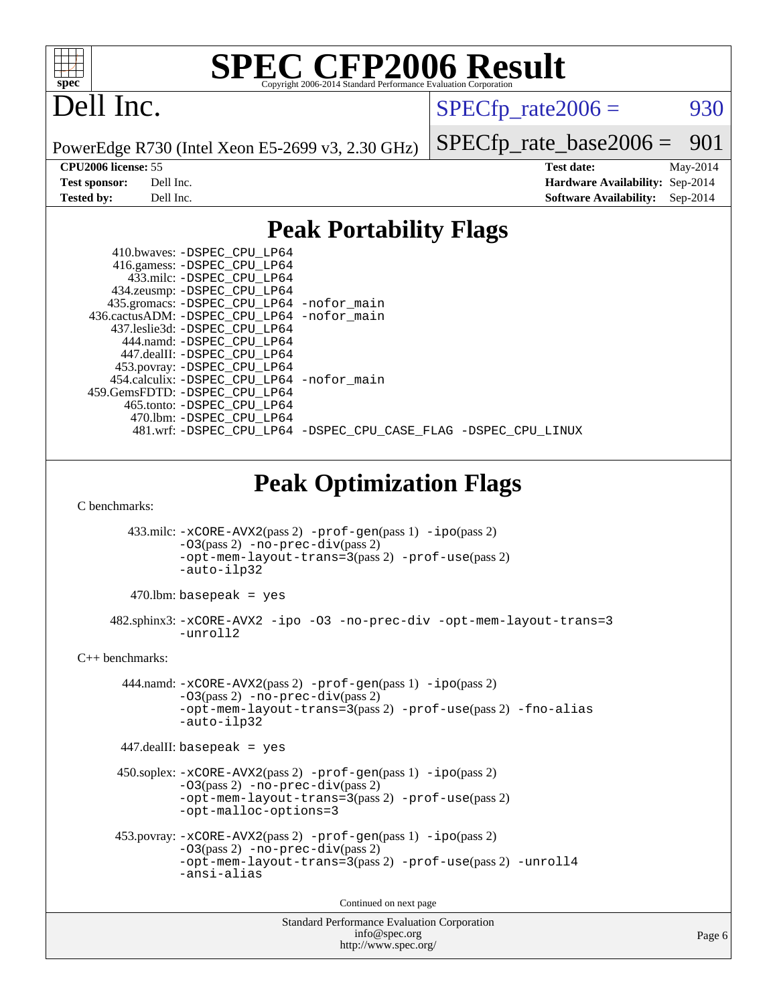

# Dell Inc.

 $SPECTp_rate2006 =$  930

PowerEdge R730 (Intel Xeon E5-2699 v3, 2.30 GHz)

[SPECfp\\_rate\\_base2006 =](http://www.spec.org/auto/cpu2006/Docs/result-fields.html#SPECfpratebase2006) 901

**[CPU2006 license:](http://www.spec.org/auto/cpu2006/Docs/result-fields.html#CPU2006license)** 55 **[Test date:](http://www.spec.org/auto/cpu2006/Docs/result-fields.html#Testdate)** May-2014 **[Test sponsor:](http://www.spec.org/auto/cpu2006/Docs/result-fields.html#Testsponsor)** Dell Inc. **[Hardware Availability:](http://www.spec.org/auto/cpu2006/Docs/result-fields.html#HardwareAvailability)** Sep-2014 **[Tested by:](http://www.spec.org/auto/cpu2006/Docs/result-fields.html#Testedby)** Dell Inc. **[Software Availability:](http://www.spec.org/auto/cpu2006/Docs/result-fields.html#SoftwareAvailability)** Sep-2014

## **[Peak Portability Flags](http://www.spec.org/auto/cpu2006/Docs/result-fields.html#PeakPortabilityFlags)**

|                                | 410.bwaves: -DSPEC_CPU_LP64                                                                         |  |  |  |  |
|--------------------------------|-----------------------------------------------------------------------------------------------------|--|--|--|--|
|                                | 416.gamess: -DSPEC_CPU_LP64                                                                         |  |  |  |  |
|                                | 433.milc: -DSPEC_CPU_LP64                                                                           |  |  |  |  |
|                                | 434.zeusmp: - DSPEC_CPU_LP64                                                                        |  |  |  |  |
|                                | 435.gromacs: -DSPEC_CPU_LP64 -nofor_main                                                            |  |  |  |  |
|                                | 436.cactusADM: -DSPEC CPU LP64 -nofor main                                                          |  |  |  |  |
|                                | 437.leslie3d: -DSPEC CPU LP64                                                                       |  |  |  |  |
|                                | 444.namd: -DSPEC CPU LP64                                                                           |  |  |  |  |
|                                | 447.dealII: -DSPEC_CPU_LP64                                                                         |  |  |  |  |
|                                | 453.povray: -DSPEC CPU LP64                                                                         |  |  |  |  |
|                                | 454.calculix: -DSPEC_CPU_LP64 -nofor_main                                                           |  |  |  |  |
|                                | 459.GemsFDTD: - DSPEC CPU LP64                                                                      |  |  |  |  |
|                                | 465.tonto: - DSPEC_CPU_LP64                                                                         |  |  |  |  |
|                                | 470.1bm: - DSPEC CPU LP64                                                                           |  |  |  |  |
|                                | 481.wrf: -DSPEC_CPU_LP64 -DSPEC_CPU_CASE_FLAG -DSPEC_CPU_LINUX                                      |  |  |  |  |
|                                |                                                                                                     |  |  |  |  |
|                                |                                                                                                     |  |  |  |  |
|                                |                                                                                                     |  |  |  |  |
| <b>Peak Optimization Flags</b> |                                                                                                     |  |  |  |  |
|                                |                                                                                                     |  |  |  |  |
|                                |                                                                                                     |  |  |  |  |
| C benchmarks:                  |                                                                                                     |  |  |  |  |
|                                |                                                                                                     |  |  |  |  |
|                                | 433.milc: -xCORE-AVX2(pass 2) -prof-gen(pass 1) -ipo(pass 2)                                        |  |  |  |  |
|                                | $-03(pass 2)$ -no-prec-div(pass 2)                                                                  |  |  |  |  |
|                                | -opt-mem-layout-trans=3(pass 2) -prof-use(pass 2)                                                   |  |  |  |  |
|                                | -auto-ilp32                                                                                         |  |  |  |  |
|                                |                                                                                                     |  |  |  |  |
|                                | $470$ .lbm: basepeak = yes                                                                          |  |  |  |  |
|                                | 482.sphinx3:-xCORE-AVX2 -ipo -03 -no-prec-div -opt-mem-layout-trans=3                               |  |  |  |  |
|                                | -unroll2                                                                                            |  |  |  |  |
|                                |                                                                                                     |  |  |  |  |
| $C_{++}$ benchmarks:           |                                                                                                     |  |  |  |  |
|                                |                                                                                                     |  |  |  |  |
|                                | 444.namd: -xCORE-AVX2(pass 2) -prof-gen(pass 1) -ipo(pass 2)<br>$-03$ (pass 2) -no-prec-div(pass 2) |  |  |  |  |

[-opt-mem-layout-trans=3](http://www.spec.org/cpu2006/results/res2014q3/cpu2006-20140909-31344.flags.html#user_peakPASS2_CXXFLAGS444_namd_f-opt-mem-layout-trans_a7b82ad4bd7abf52556d4961a2ae94d5)(pass 2) [-prof-use](http://www.spec.org/cpu2006/results/res2014q3/cpu2006-20140909-31344.flags.html#user_peakPASS2_CXXFLAGSPASS2_LDFLAGS444_namd_prof_use_bccf7792157ff70d64e32fe3e1250b55)(pass 2) [-fno-alias](http://www.spec.org/cpu2006/results/res2014q3/cpu2006-20140909-31344.flags.html#user_peakCXXOPTIMIZE444_namd_f-no-alias_694e77f6c5a51e658e82ccff53a9e63a) [-auto-ilp32](http://www.spec.org/cpu2006/results/res2014q3/cpu2006-20140909-31344.flags.html#user_peakCXXOPTIMIZE444_namd_f-auto-ilp32)

447.dealII: basepeak = yes

```
 450.soplex: -xCORE-AVX2(pass 2) -prof-gen(pass 1) -ipo(pass 2)
-O3(pass 2) -no-prec-div(pass 2)
-opt-mem-layout-trans=3(pass 2) -prof-use(pass 2)
-opt-malloc-options=3
```

```
 453.povray: -xCORE-AVX2(pass 2) -prof-gen(pass 1) -ipo(pass 2)
-O3(pass 2) -no-prec-div(pass 2)
-opt-mem-layout-trans=3(pass 2) -prof-use(pass 2) -unroll4
-ansi-alias
```
Continued on next page

```
Standard Performance Evaluation Corporation
    info@spec.org
  http://www.spec.org/
```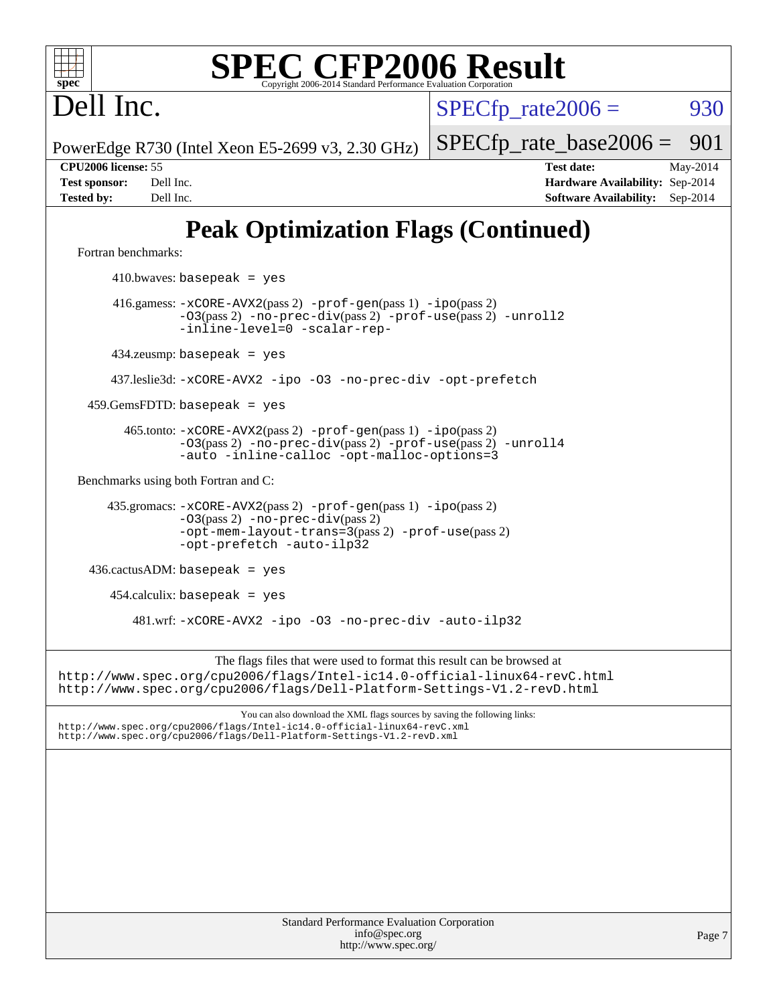Dell Inc.

 $SPECTp\_rate2006 = 930$ 

PowerEdge R730 (Intel Xeon E5-2699 v3, 2.30 GHz)

[SPECfp\\_rate\\_base2006 =](http://www.spec.org/auto/cpu2006/Docs/result-fields.html#SPECfpratebase2006) 901

**[CPU2006 license:](http://www.spec.org/auto/cpu2006/Docs/result-fields.html#CPU2006license)** 55 **[Test date:](http://www.spec.org/auto/cpu2006/Docs/result-fields.html#Testdate)** May-2014 **[Test sponsor:](http://www.spec.org/auto/cpu2006/Docs/result-fields.html#Testsponsor)** Dell Inc. **[Hardware Availability:](http://www.spec.org/auto/cpu2006/Docs/result-fields.html#HardwareAvailability)** Sep-2014 **[Tested by:](http://www.spec.org/auto/cpu2006/Docs/result-fields.html#Testedby)** Dell Inc. **[Software Availability:](http://www.spec.org/auto/cpu2006/Docs/result-fields.html#SoftwareAvailability)** Sep-2014

# **[Peak Optimization Flags \(Continued\)](http://www.spec.org/auto/cpu2006/Docs/result-fields.html#PeakOptimizationFlags)**

[Fortran benchmarks](http://www.spec.org/auto/cpu2006/Docs/result-fields.html#Fortranbenchmarks):

 $410.bwaves: basepeak = yes$  416.gamess: [-xCORE-AVX2](http://www.spec.org/cpu2006/results/res2014q3/cpu2006-20140909-31344.flags.html#user_peakPASS2_FFLAGSPASS2_LDFLAGS416_gamess_f-xAVX2_5f5fc0cbe2c9f62c816d3e45806c70d7)(pass 2) [-prof-gen](http://www.spec.org/cpu2006/results/res2014q3/cpu2006-20140909-31344.flags.html#user_peakPASS1_FFLAGSPASS1_LDFLAGS416_gamess_prof_gen_e43856698f6ca7b7e442dfd80e94a8fc)(pass 1) [-ipo](http://www.spec.org/cpu2006/results/res2014q3/cpu2006-20140909-31344.flags.html#user_peakPASS2_FFLAGSPASS2_LDFLAGS416_gamess_f-ipo)(pass 2) [-O3](http://www.spec.org/cpu2006/results/res2014q3/cpu2006-20140909-31344.flags.html#user_peakPASS2_FFLAGSPASS2_LDFLAGS416_gamess_f-O3)(pass 2) [-no-prec-div](http://www.spec.org/cpu2006/results/res2014q3/cpu2006-20140909-31344.flags.html#user_peakPASS2_FFLAGSPASS2_LDFLAGS416_gamess_f-no-prec-div)(pass 2) [-prof-use](http://www.spec.org/cpu2006/results/res2014q3/cpu2006-20140909-31344.flags.html#user_peakPASS2_FFLAGSPASS2_LDFLAGS416_gamess_prof_use_bccf7792157ff70d64e32fe3e1250b55)(pass 2) [-unroll2](http://www.spec.org/cpu2006/results/res2014q3/cpu2006-20140909-31344.flags.html#user_peakOPTIMIZE416_gamess_f-unroll_784dae83bebfb236979b41d2422d7ec2) [-inline-level=0](http://www.spec.org/cpu2006/results/res2014q3/cpu2006-20140909-31344.flags.html#user_peakOPTIMIZE416_gamess_f-inline-level_318d07a09274ad25e8d15dbfaa68ba50) [-scalar-rep-](http://www.spec.org/cpu2006/results/res2014q3/cpu2006-20140909-31344.flags.html#user_peakOPTIMIZE416_gamess_f-disablescalarrep_abbcad04450fb118e4809c81d83c8a1d) 434.zeusmp: basepeak = yes 437.leslie3d: [-xCORE-AVX2](http://www.spec.org/cpu2006/results/res2014q3/cpu2006-20140909-31344.flags.html#user_peakOPTIMIZE437_leslie3d_f-xAVX2_5f5fc0cbe2c9f62c816d3e45806c70d7) [-ipo](http://www.spec.org/cpu2006/results/res2014q3/cpu2006-20140909-31344.flags.html#user_peakOPTIMIZE437_leslie3d_f-ipo) [-O3](http://www.spec.org/cpu2006/results/res2014q3/cpu2006-20140909-31344.flags.html#user_peakOPTIMIZE437_leslie3d_f-O3) [-no-prec-div](http://www.spec.org/cpu2006/results/res2014q3/cpu2006-20140909-31344.flags.html#user_peakOPTIMIZE437_leslie3d_f-no-prec-div) [-opt-prefetch](http://www.spec.org/cpu2006/results/res2014q3/cpu2006-20140909-31344.flags.html#user_peakOPTIMIZE437_leslie3d_f-opt-prefetch)  $459.GemsFDTD: basepeak = yes$  465.tonto: [-xCORE-AVX2](http://www.spec.org/cpu2006/results/res2014q3/cpu2006-20140909-31344.flags.html#user_peakPASS2_FFLAGSPASS2_LDFLAGS465_tonto_f-xAVX2_5f5fc0cbe2c9f62c816d3e45806c70d7)(pass 2) [-prof-gen](http://www.spec.org/cpu2006/results/res2014q3/cpu2006-20140909-31344.flags.html#user_peakPASS1_FFLAGSPASS1_LDFLAGS465_tonto_prof_gen_e43856698f6ca7b7e442dfd80e94a8fc)(pass 1) [-ipo](http://www.spec.org/cpu2006/results/res2014q3/cpu2006-20140909-31344.flags.html#user_peakPASS2_FFLAGSPASS2_LDFLAGS465_tonto_f-ipo)(pass 2) [-O3](http://www.spec.org/cpu2006/results/res2014q3/cpu2006-20140909-31344.flags.html#user_peakPASS2_FFLAGSPASS2_LDFLAGS465_tonto_f-O3)(pass 2) [-no-prec-div](http://www.spec.org/cpu2006/results/res2014q3/cpu2006-20140909-31344.flags.html#user_peakPASS2_FFLAGSPASS2_LDFLAGS465_tonto_f-no-prec-div)(pass 2) [-prof-use](http://www.spec.org/cpu2006/results/res2014q3/cpu2006-20140909-31344.flags.html#user_peakPASS2_FFLAGSPASS2_LDFLAGS465_tonto_prof_use_bccf7792157ff70d64e32fe3e1250b55)(pass 2) [-unroll4](http://www.spec.org/cpu2006/results/res2014q3/cpu2006-20140909-31344.flags.html#user_peakOPTIMIZE465_tonto_f-unroll_4e5e4ed65b7fd20bdcd365bec371b81f) [-auto](http://www.spec.org/cpu2006/results/res2014q3/cpu2006-20140909-31344.flags.html#user_peakOPTIMIZE465_tonto_f-auto) [-inline-calloc](http://www.spec.org/cpu2006/results/res2014q3/cpu2006-20140909-31344.flags.html#user_peakOPTIMIZE465_tonto_f-inline-calloc) [-opt-malloc-options=3](http://www.spec.org/cpu2006/results/res2014q3/cpu2006-20140909-31344.flags.html#user_peakOPTIMIZE465_tonto_f-opt-malloc-options_13ab9b803cf986b4ee62f0a5998c2238) [Benchmarks using both Fortran and C](http://www.spec.org/auto/cpu2006/Docs/result-fields.html#BenchmarksusingbothFortranandC): 435.gromacs: [-xCORE-AVX2](http://www.spec.org/cpu2006/results/res2014q3/cpu2006-20140909-31344.flags.html#user_peakPASS2_CFLAGSPASS2_FFLAGSPASS2_LDFLAGS435_gromacs_f-xAVX2_5f5fc0cbe2c9f62c816d3e45806c70d7)(pass 2) [-prof-gen](http://www.spec.org/cpu2006/results/res2014q3/cpu2006-20140909-31344.flags.html#user_peakPASS1_CFLAGSPASS1_FFLAGSPASS1_LDFLAGS435_gromacs_prof_gen_e43856698f6ca7b7e442dfd80e94a8fc)(pass 1) [-ipo](http://www.spec.org/cpu2006/results/res2014q3/cpu2006-20140909-31344.flags.html#user_peakPASS2_CFLAGSPASS2_FFLAGSPASS2_LDFLAGS435_gromacs_f-ipo)(pass 2) [-O3](http://www.spec.org/cpu2006/results/res2014q3/cpu2006-20140909-31344.flags.html#user_peakPASS2_CFLAGSPASS2_FFLAGSPASS2_LDFLAGS435_gromacs_f-O3)(pass 2) [-no-prec-div](http://www.spec.org/cpu2006/results/res2014q3/cpu2006-20140909-31344.flags.html#user_peakPASS2_CFLAGSPASS2_FFLAGSPASS2_LDFLAGS435_gromacs_f-no-prec-div)(pass 2) [-opt-mem-layout-trans=3](http://www.spec.org/cpu2006/results/res2014q3/cpu2006-20140909-31344.flags.html#user_peakPASS2_CFLAGS435_gromacs_f-opt-mem-layout-trans_a7b82ad4bd7abf52556d4961a2ae94d5)(pass 2) [-prof-use](http://www.spec.org/cpu2006/results/res2014q3/cpu2006-20140909-31344.flags.html#user_peakPASS2_CFLAGSPASS2_FFLAGSPASS2_LDFLAGS435_gromacs_prof_use_bccf7792157ff70d64e32fe3e1250b55)(pass 2) [-opt-prefetch](http://www.spec.org/cpu2006/results/res2014q3/cpu2006-20140909-31344.flags.html#user_peakOPTIMIZE435_gromacs_f-opt-prefetch) [-auto-ilp32](http://www.spec.org/cpu2006/results/res2014q3/cpu2006-20140909-31344.flags.html#user_peakCOPTIMIZE435_gromacs_f-auto-ilp32) 436.cactusADM: basepeak = yes  $454$ .calculix: basepeak = yes 481.wrf: [-xCORE-AVX2](http://www.spec.org/cpu2006/results/res2014q3/cpu2006-20140909-31344.flags.html#user_peakOPTIMIZE481_wrf_f-xAVX2_5f5fc0cbe2c9f62c816d3e45806c70d7) [-ipo](http://www.spec.org/cpu2006/results/res2014q3/cpu2006-20140909-31344.flags.html#user_peakOPTIMIZE481_wrf_f-ipo) [-O3](http://www.spec.org/cpu2006/results/res2014q3/cpu2006-20140909-31344.flags.html#user_peakOPTIMIZE481_wrf_f-O3) [-no-prec-div](http://www.spec.org/cpu2006/results/res2014q3/cpu2006-20140909-31344.flags.html#user_peakOPTIMIZE481_wrf_f-no-prec-div) [-auto-ilp32](http://www.spec.org/cpu2006/results/res2014q3/cpu2006-20140909-31344.flags.html#user_peakCOPTIMIZE481_wrf_f-auto-ilp32) The flags files that were used to format this result can be browsed at <http://www.spec.org/cpu2006/flags/Intel-ic14.0-official-linux64-revC.html> <http://www.spec.org/cpu2006/flags/Dell-Platform-Settings-V1.2-revD.html> You can also download the XML flags sources by saving the following links: <http://www.spec.org/cpu2006/flags/Intel-ic14.0-official-linux64-revC.xml> <http://www.spec.org/cpu2006/flags/Dell-Platform-Settings-V1.2-revD.xml>